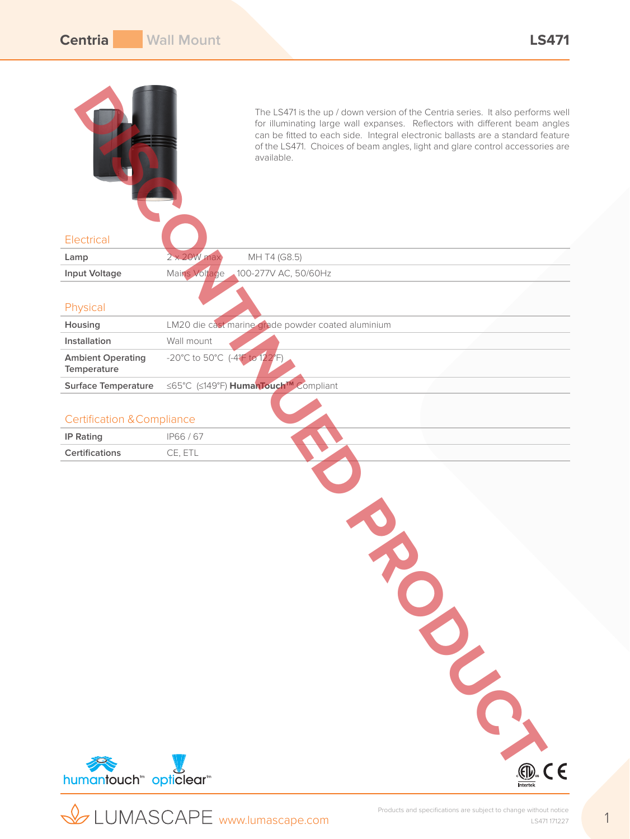| $2 \times 20W$ max<br>MH T4 (G8.5)<br>Lamp<br>Mains Voltage<br>100-277V AC, 50/60Hz<br>LM20 die cast marine grade powder coated aluminium<br>Wall mount<br>-20°C to 50°C (-4°F to 122°F)<br>≤65°C (≤149°F) HumanTouch™ Compliant<br>IP66/67<br>CE, ETL |            | The LS471 is the up / down version of the Centria series. It also performs well<br>for illuminating large wall expanses. Reflectors with different beam angles<br>can be fitted to each side. Integral electronic ballasts are a standard feature<br>of the LS471. Choices of beam angles, light and glare control accessories are<br>available. |
|--------------------------------------------------------------------------------------------------------------------------------------------------------------------------------------------------------------------------------------------------------|------------|--------------------------------------------------------------------------------------------------------------------------------------------------------------------------------------------------------------------------------------------------------------------------------------------------------------------------------------------------|
| Input Voltage                                                                                                                                                                                                                                          | Electrical |                                                                                                                                                                                                                                                                                                                                                  |
|                                                                                                                                                                                                                                                        |            |                                                                                                                                                                                                                                                                                                                                                  |
| Physical<br>Housing<br>Installation<br><b>Ambient Operating</b><br>Temperature<br><b>Surface Temperature</b><br><b>Certification &amp; Compliance</b><br>IP Rating<br>Certifications                                                                   |            |                                                                                                                                                                                                                                                                                                                                                  |
|                                                                                                                                                                                                                                                        |            |                                                                                                                                                                                                                                                                                                                                                  |
|                                                                                                                                                                                                                                                        |            |                                                                                                                                                                                                                                                                                                                                                  |
|                                                                                                                                                                                                                                                        |            |                                                                                                                                                                                                                                                                                                                                                  |
|                                                                                                                                                                                                                                                        |            |                                                                                                                                                                                                                                                                                                                                                  |
|                                                                                                                                                                                                                                                        |            |                                                                                                                                                                                                                                                                                                                                                  |
|                                                                                                                                                                                                                                                        |            |                                                                                                                                                                                                                                                                                                                                                  |
|                                                                                                                                                                                                                                                        |            |                                                                                                                                                                                                                                                                                                                                                  |
|                                                                                                                                                                                                                                                        |            |                                                                                                                                                                                                                                                                                                                                                  |

Products and specifications are subject to change without notice<br>1 LUMASCAPE www.lumascape.com